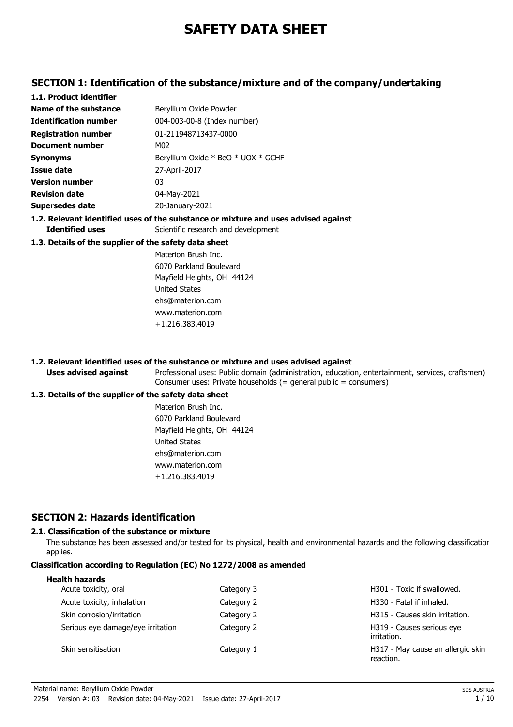# **SAFETY DATA SHEET**

### **SECTION 1: Identification of the substance/mixture and of the company/undertaking**

| 1.1. Product identifier                               |                                                                                    |
|-------------------------------------------------------|------------------------------------------------------------------------------------|
| Name of the substance                                 | Beryllium Oxide Powder                                                             |
| <b>Identification number</b>                          | 004-003-00-8 (Index number)                                                        |
| <b>Registration number</b>                            | 01-211948713437-0000                                                               |
| Document number                                       | M02                                                                                |
| <b>Synonyms</b>                                       | Beryllium Oxide * BeO * UOX * GCHF                                                 |
| Issue date                                            | 27-April-2017                                                                      |
| <b>Version number</b>                                 | 03                                                                                 |
| <b>Revision date</b>                                  | 04-May-2021                                                                        |
| <b>Supersedes date</b>                                | 20-January-2021                                                                    |
|                                                       | 1.2. Relevant identified uses of the substance or mixture and uses advised against |
| <b>Identified uses</b>                                | Scientific research and development                                                |
| 1.3. Details of the supplier of the safety data sheet |                                                                                    |
|                                                       | Materion Brush Inc.                                                                |
|                                                       | 6070 Parkland Boulevard                                                            |
|                                                       | Mayfield Heights, OH 44124                                                         |
|                                                       | United States                                                                      |
|                                                       | ehs@materion.com                                                                   |

#### **1.2. Relevant identified uses of the substance or mixture and uses advised against**

www.materion.com +1.216.383.4019

Professional uses: Public domain (administration, education, entertainment, services, craftsmen) Consumer uses: Private households (= general public = consumers)

#### **1.3. Details of the supplier of the safety data sheet**

**Uses advised against**

Materion Brush Inc. 6070 Parkland Boulevard Mayfield Heights, OH 44124 United States ehs@materion.com www.materion.com +1.216.383.4019

### **SECTION 2: Hazards identification**

#### **2.1. Classification of the substance or mixture**

The substance has been assessed and/or tested for its physical, health and environmental hazards and the following classification applies.

#### **Classification according to Regulation (EC) No 1272/2008 as amended**

| Category 3 | H301 - Toxic if swallowed.                     |
|------------|------------------------------------------------|
| Category 2 | H330 - Fatal if inhaled.                       |
| Category 2 | H315 - Causes skin irritation.                 |
| Category 2 | H319 - Causes serious eye<br>irritation.       |
| Category 1 | H317 - May cause an allergic skin<br>reaction. |
|            |                                                |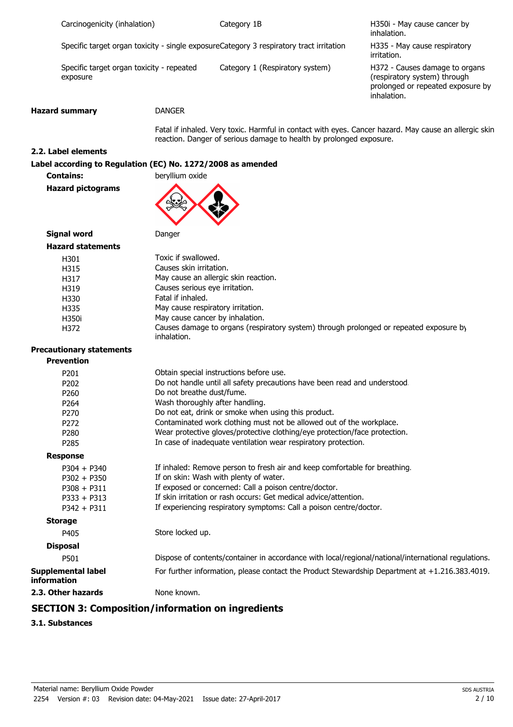| Carcinogenicity (inhalation) |  |
|------------------------------|--|
|                              |  |

Category 1B

H350i - May cause cancer by inhalation.

Specific target organ toxicity - single exposureCategory 3 respiratory tract irritation

Specific target organ toxicity - repeated Category 1 (Respiratory system) exposure

H335 - May cause respiratory irritation.

H372 - Causes damage to organs (respiratory system) through prolonged or repeated exposure by inhalation.

#### **Hazard summary** DANGER

Fatal if inhaled. Very toxic. Harmful in contact with eyes. Cancer hazard. May cause an allergic skin reaction. Danger of serious damage to health by prolonged exposure.

#### **2.2. Label elements**

#### **Label according to Regulation (EC) No. 1272/2008 as amended**

**Contains: beryllium oxide** 

**Hazard pictograms**



**Signal word Danger** 

| <b>Hazard statements</b> |                                                                                                       |
|--------------------------|-------------------------------------------------------------------------------------------------------|
| H301                     | Toxic if swallowed.                                                                                   |
| H315                     | Causes skin irritation.                                                                               |
| H317                     | May cause an allergic skin reaction.                                                                  |
| H319                     | Causes serious eye irritation.                                                                        |
| H330                     | Fatal if inhaled.                                                                                     |
| H335                     | May cause respiratory irritation.                                                                     |
| H350i                    | May cause cancer by inhalation.                                                                       |
| H372                     | Causes damage to organs (respiratory system) through prolonged or repeated exposure by<br>inhalation. |

## **Precautionary statements**

| <b>Prevention</b>                               |                                                                                                     |
|-------------------------------------------------|-----------------------------------------------------------------------------------------------------|
| P <sub>201</sub>                                | Obtain special instructions before use.                                                             |
| P202                                            | Do not handle until all safety precautions have been read and understood.                           |
| P <sub>260</sub>                                | Do not breathe dust/fume.                                                                           |
| P <sub>264</sub>                                | Wash thoroughly after handling.                                                                     |
| P <sub>270</sub>                                | Do not eat, drink or smoke when using this product.                                                 |
| P <sub>272</sub>                                | Contaminated work clothing must not be allowed out of the workplace.                                |
| P <sub>280</sub>                                | Wear protective gloves/protective clothing/eye protection/face protection.                          |
| P <sub>285</sub>                                | In case of inadequate ventilation wear respiratory protection.                                      |
| <b>Response</b>                                 |                                                                                                     |
| $P304 + P340$                                   | If inhaled: Remove person to fresh air and keep comfortable for breathing.                          |
| $P302 + P350$                                   | If on skin: Wash with plenty of water.                                                              |
| $P308 + P311$                                   | If exposed or concerned: Call a poison centre/doctor.                                               |
| $P333 + P313$                                   | If skin irritation or rash occurs: Get medical advice/attention.                                    |
| $P342 + P311$                                   | If experiencing respiratory symptoms: Call a poison centre/doctor.                                  |
| <b>Storage</b>                                  |                                                                                                     |
| P405                                            | Store locked up.                                                                                    |
| <b>Disposal</b>                                 |                                                                                                     |
| P501                                            | Dispose of contents/container in accordance with local/regional/national/international regulations. |
| <b>Supplemental label</b><br><b>information</b> | For further information, please contact the Product Stewardship Department at +1.216.383.4019.      |
| 2.3. Other hazards                              | None known.                                                                                         |
| CECTION 5. C                                    |                                                                                                     |

#### **SECTION 3: Composition/information on ingredients**

**3.1. Substances**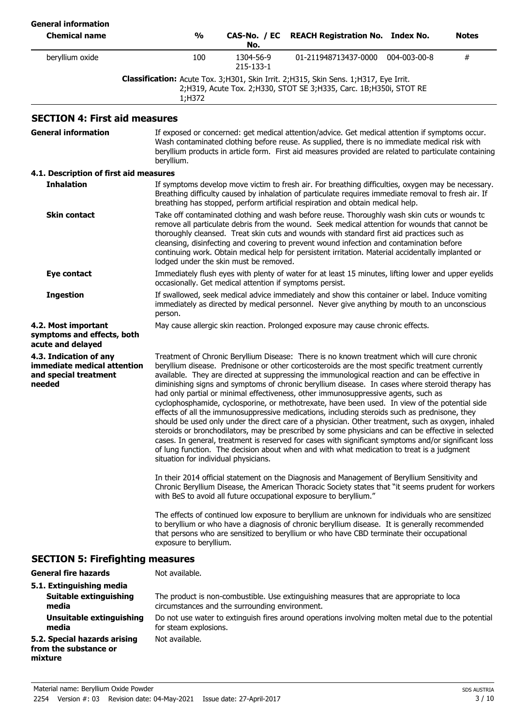| <b>General information</b><br><b>Chemical name</b>                                       | $\frac{1}{2}$                                                                                                                                                                                                                                                                                                                                                                                                                                                                                                                           | CAS-No. / EC<br>No.                                      | <b>REACH Registration No. Index No.</b>                                                                                                                                                                                                                                                                                                                                                                                                                                                                                                                                                                                                                                                                                                                                                                                                                                                                                                                                                                                                                                                                        |              | Notes |
|------------------------------------------------------------------------------------------|-----------------------------------------------------------------------------------------------------------------------------------------------------------------------------------------------------------------------------------------------------------------------------------------------------------------------------------------------------------------------------------------------------------------------------------------------------------------------------------------------------------------------------------------|----------------------------------------------------------|----------------------------------------------------------------------------------------------------------------------------------------------------------------------------------------------------------------------------------------------------------------------------------------------------------------------------------------------------------------------------------------------------------------------------------------------------------------------------------------------------------------------------------------------------------------------------------------------------------------------------------------------------------------------------------------------------------------------------------------------------------------------------------------------------------------------------------------------------------------------------------------------------------------------------------------------------------------------------------------------------------------------------------------------------------------------------------------------------------------|--------------|-------|
| beryllium oxide                                                                          | 100                                                                                                                                                                                                                                                                                                                                                                                                                                                                                                                                     | 1304-56-9<br>215-133-1                                   | 01-211948713437-0000                                                                                                                                                                                                                                                                                                                                                                                                                                                                                                                                                                                                                                                                                                                                                                                                                                                                                                                                                                                                                                                                                           | 004-003-00-8 | #     |
|                                                                                          | 1;H372                                                                                                                                                                                                                                                                                                                                                                                                                                                                                                                                  |                                                          | Classification: Acute Tox. 3;H301, Skin Irrit. 2;H315, Skin Sens. 1;H317, Eye Irrit.<br>2;H319, Acute Tox. 2;H330, STOT SE 3;H335, Carc. 1B;H350i, STOT RE                                                                                                                                                                                                                                                                                                                                                                                                                                                                                                                                                                                                                                                                                                                                                                                                                                                                                                                                                     |              |       |
| <b>SECTION 4: First aid measures</b>                                                     |                                                                                                                                                                                                                                                                                                                                                                                                                                                                                                                                         |                                                          |                                                                                                                                                                                                                                                                                                                                                                                                                                                                                                                                                                                                                                                                                                                                                                                                                                                                                                                                                                                                                                                                                                                |              |       |
| <b>General information</b>                                                               | beryllium.                                                                                                                                                                                                                                                                                                                                                                                                                                                                                                                              |                                                          | If exposed or concerned: get medical attention/advice. Get medical attention if symptoms occur.<br>Wash contaminated clothing before reuse. As supplied, there is no immediate medical risk with<br>beryllium products in article form. First aid measures provided are related to particulate containing                                                                                                                                                                                                                                                                                                                                                                                                                                                                                                                                                                                                                                                                                                                                                                                                      |              |       |
| 4.1. Description of first aid measures                                                   |                                                                                                                                                                                                                                                                                                                                                                                                                                                                                                                                         |                                                          |                                                                                                                                                                                                                                                                                                                                                                                                                                                                                                                                                                                                                                                                                                                                                                                                                                                                                                                                                                                                                                                                                                                |              |       |
| <b>Inhalation</b>                                                                        |                                                                                                                                                                                                                                                                                                                                                                                                                                                                                                                                         |                                                          | If symptoms develop move victim to fresh air. For breathing difficulties, oxygen may be necessary.<br>Breathing difficulty caused by inhalation of particulate requires immediate removal to fresh air. If<br>breathing has stopped, perform artificial respiration and obtain medical help.                                                                                                                                                                                                                                                                                                                                                                                                                                                                                                                                                                                                                                                                                                                                                                                                                   |              |       |
| <b>Skin contact</b>                                                                      | Take off contaminated clothing and wash before reuse. Thoroughly wash skin cuts or wounds to<br>remove all particulate debris from the wound. Seek medical attention for wounds that cannot be<br>thoroughly cleansed. Treat skin cuts and wounds with standard first aid practices such as<br>cleansing, disinfecting and covering to prevent wound infection and contamination before<br>continuing work. Obtain medical help for persistent irritation. Material accidentally implanted or<br>lodged under the skin must be removed. |                                                          |                                                                                                                                                                                                                                                                                                                                                                                                                                                                                                                                                                                                                                                                                                                                                                                                                                                                                                                                                                                                                                                                                                                |              |       |
| Eye contact                                                                              |                                                                                                                                                                                                                                                                                                                                                                                                                                                                                                                                         | occasionally. Get medical attention if symptoms persist. | Immediately flush eyes with plenty of water for at least 15 minutes, lifting lower and upper eyelids                                                                                                                                                                                                                                                                                                                                                                                                                                                                                                                                                                                                                                                                                                                                                                                                                                                                                                                                                                                                           |              |       |
| <b>Ingestion</b>                                                                         | person.                                                                                                                                                                                                                                                                                                                                                                                                                                                                                                                                 |                                                          | If swallowed, seek medical advice immediately and show this container or label. Induce vomiting<br>immediately as directed by medical personnel. Never give anything by mouth to an unconscious                                                                                                                                                                                                                                                                                                                                                                                                                                                                                                                                                                                                                                                                                                                                                                                                                                                                                                                |              |       |
| 4.2. Most important<br>symptoms and effects, both<br>acute and delayed                   |                                                                                                                                                                                                                                                                                                                                                                                                                                                                                                                                         |                                                          | May cause allergic skin reaction. Prolonged exposure may cause chronic effects.                                                                                                                                                                                                                                                                                                                                                                                                                                                                                                                                                                                                                                                                                                                                                                                                                                                                                                                                                                                                                                |              |       |
| 4.3. Indication of any<br>immediate medical attention<br>and special treatment<br>needed | situation for individual physicians.                                                                                                                                                                                                                                                                                                                                                                                                                                                                                                    |                                                          | Treatment of Chronic Beryllium Disease: There is no known treatment which will cure chronic<br>beryllium disease. Prednisone or other corticosteroids are the most specific treatment currently<br>available. They are directed at suppressing the immunological reaction and can be effective in<br>diminishing signs and symptoms of chronic beryllium disease. In cases where steroid therapy has<br>had only partial or minimal effectiveness, other immunosuppressive agents, such as<br>cyclophosphamide, cyclosporine, or methotrexate, have been used. In view of the potential side<br>effects of all the immunosuppressive medications, including steroids such as prednisone, they<br>should be used only under the direct care of a physician. Other treatment, such as oxygen, inhaled<br>steroids or bronchodilators, may be prescribed by some physicians and can be effective in selected<br>cases. In general, treatment is reserved for cases with significant symptoms and/or significant loss<br>of lung function. The decision about when and with what medication to treat is a judgment |              |       |
|                                                                                          | In their 2014 official statement on the Diagnosis and Management of Beryllium Sensitivity and<br>Chronic Beryllium Disease, the American Thoracic Society states that "it seems prudent for workers<br>with BeS to avoid all future occupational exposure to beryllium."                                                                                                                                                                                                                                                                |                                                          |                                                                                                                                                                                                                                                                                                                                                                                                                                                                                                                                                                                                                                                                                                                                                                                                                                                                                                                                                                                                                                                                                                                |              |       |
|                                                                                          | The effects of continued low exposure to beryllium are unknown for individuals who are sensitizec<br>to beryllium or who have a diagnosis of chronic beryllium disease. It is generally recommended<br>that persons who are sensitized to beryllium or who have CBD terminate their occupational<br>exposure to beryllium.                                                                                                                                                                                                              |                                                          |                                                                                                                                                                                                                                                                                                                                                                                                                                                                                                                                                                                                                                                                                                                                                                                                                                                                                                                                                                                                                                                                                                                |              |       |
| <b>SECTION 5: Firefighting measures</b>                                                  |                                                                                                                                                                                                                                                                                                                                                                                                                                                                                                                                         |                                                          |                                                                                                                                                                                                                                                                                                                                                                                                                                                                                                                                                                                                                                                                                                                                                                                                                                                                                                                                                                                                                                                                                                                |              |       |
| <b>General fire hazards</b>                                                              | Not available.                                                                                                                                                                                                                                                                                                                                                                                                                                                                                                                          |                                                          |                                                                                                                                                                                                                                                                                                                                                                                                                                                                                                                                                                                                                                                                                                                                                                                                                                                                                                                                                                                                                                                                                                                |              |       |
| 5.1. Extinguishing media<br>Suitable extinguishing<br>media                              |                                                                                                                                                                                                                                                                                                                                                                                                                                                                                                                                         | circumstances and the surrounding environment.           | The product is non-combustible. Use extinguishing measures that are appropriate to loca                                                                                                                                                                                                                                                                                                                                                                                                                                                                                                                                                                                                                                                                                                                                                                                                                                                                                                                                                                                                                        |              |       |
| <b>Unsuitable extinguishing</b><br>media                                                 | for steam explosions.                                                                                                                                                                                                                                                                                                                                                                                                                                                                                                                   |                                                          | Do not use water to extinguish fires around operations involving molten metal due to the potential                                                                                                                                                                                                                                                                                                                                                                                                                                                                                                                                                                                                                                                                                                                                                                                                                                                                                                                                                                                                             |              |       |
| 5.2. Special hazards arising<br>from the substance or<br>mixture                         | Not available.                                                                                                                                                                                                                                                                                                                                                                                                                                                                                                                          |                                                          |                                                                                                                                                                                                                                                                                                                                                                                                                                                                                                                                                                                                                                                                                                                                                                                                                                                                                                                                                                                                                                                                                                                |              |       |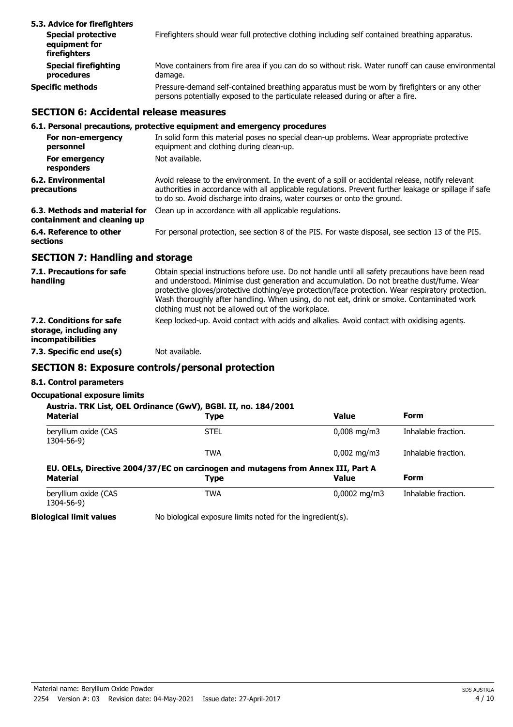| 5.3. Advice for firefighters                               |                                                                                                                                                                                 |
|------------------------------------------------------------|---------------------------------------------------------------------------------------------------------------------------------------------------------------------------------|
| <b>Special protective</b><br>equipment for<br>firefighters | Firefighters should wear full protective clothing including self contained breathing apparatus.                                                                                 |
| <b>Special firefighting</b><br>procedures                  | Move containers from fire area if you can do so without risk. Water runoff can cause environmental<br>damage.                                                                   |
| <b>Specific methods</b>                                    | Pressure-demand self-contained breathing apparatus must be worn by firefighters or any other<br>persons potentially exposed to the particulate released during or after a fire. |

#### **SECTION 6: Accidental release measures**

#### **6.1. Personal precautions, protective equipment and emergency procedures**

| For non-emergency<br>personnel                               | In solid form this material poses no special clean-up problems. Wear appropriate protective<br>equipment and clothing during clean-up.                                                                                                                                                 |
|--------------------------------------------------------------|----------------------------------------------------------------------------------------------------------------------------------------------------------------------------------------------------------------------------------------------------------------------------------------|
| For emergency<br>responders                                  | Not available.                                                                                                                                                                                                                                                                         |
| 6.2. Environmental<br>precautions                            | Avoid release to the environment. In the event of a spill or accidental release, notify relevant<br>authorities in accordance with all applicable regulations. Prevent further leakage or spillage if safe<br>to do so. Avoid discharge into drains, water courses or onto the ground. |
| 6.3. Methods and material for<br>containment and cleaning up | Clean up in accordance with all applicable regulations.                                                                                                                                                                                                                                |
| 6.4. Reference to other<br>sections                          | For personal protection, see section 8 of the PIS. For waste disposal, see section 13 of the PIS.                                                                                                                                                                                      |

#### **SECTION 7: Handling and storage**

| 7.1. Precautions for safe<br>handling                                   | Obtain special instructions before use. Do not handle until all safety precautions have been read<br>and understood. Minimise dust generation and accumulation. Do not breathe dust/fume. Wear<br>protective gloves/protective clothing/eye protection/face protection. Wear respiratory protection.<br>Wash thoroughly after handling. When using, do not eat, drink or smoke. Contaminated work<br>clothing must not be allowed out of the workplace. |
|-------------------------------------------------------------------------|---------------------------------------------------------------------------------------------------------------------------------------------------------------------------------------------------------------------------------------------------------------------------------------------------------------------------------------------------------------------------------------------------------------------------------------------------------|
| 7.2. Conditions for safe<br>storage, including any<br>incompatibilities | Keep locked-up. Avoid contact with acids and alkalies. Avoid contact with oxidising agents.                                                                                                                                                                                                                                                                                                                                                             |
| 7.3. Specific end use(s)                                                | Not available.                                                                                                                                                                                                                                                                                                                                                                                                                                          |

## **SECTION 8: Exposure controls/personal protection**

#### **8.1. Control parameters**

#### **Occupational exposure limits**

| Austria. TRK List, OEL Ordinance (GwV), BGBI. II, no. 184/2001<br><b>Material</b> | Type                                                                                     | <b>Value</b>            | Form                |
|-----------------------------------------------------------------------------------|------------------------------------------------------------------------------------------|-------------------------|---------------------|
| beryllium oxide (CAS<br>1304-56-9)                                                | <b>STEL</b>                                                                              | $0,008 \,\mathrm{mg/m}$ | Inhalable fraction. |
|                                                                                   | <b>TWA</b>                                                                               | $0,002 \,\mathrm{mg/m}$ | Inhalable fraction. |
|                                                                                   |                                                                                          |                         |                     |
| <b>Material</b>                                                                   | EU. OELs, Directive 2004/37/EC on carcinogen and mutagens from Annex III, Part A<br>Type | <b>Value</b>            | Form                |
| beryllium oxide (CAS<br>1304-56-9)                                                | TWA                                                                                      | $0,0002 \text{ mg/m}$   | Inhalable fraction. |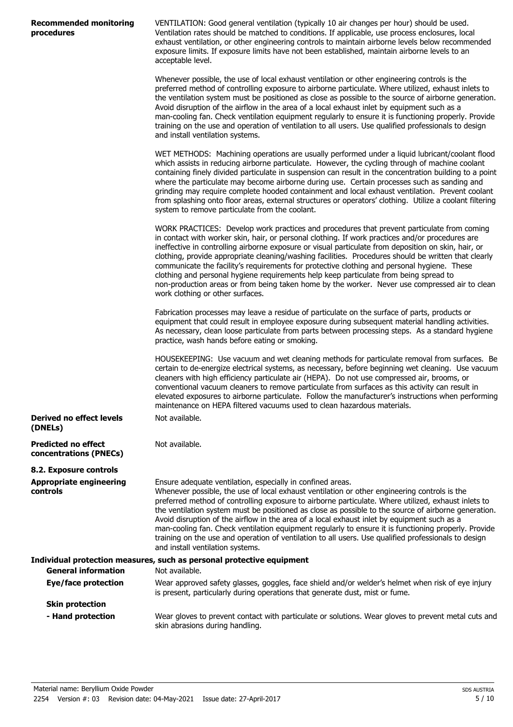| <b>Recommended monitoring</b> |  |
|-------------------------------|--|
| procedures                    |  |

VENTILATION: Good general ventilation (typically 10 air changes per hour) should be used. Ventilation rates should be matched to conditions. If applicable, use process enclosures, local exhaust ventilation, or other engineering controls to maintain airborne levels below recommended exposure limits. If exposure limits have not been established, maintain airborne levels to an acceptable level.

Whenever possible, the use of local exhaust ventilation or other engineering controls is the preferred method of controlling exposure to airborne particulate. Where utilized, exhaust inlets to the ventilation system must be positioned as close as possible to the source of airborne generation. Avoid disruption of the airflow in the area of a local exhaust inlet by equipment such as a man-cooling fan. Check ventilation equipment regularly to ensure it is functioning properly. Provide training on the use and operation of ventilation to all users. Use qualified professionals to design and install ventilation systems.

WET METHODS: Machining operations are usually performed under a liquid lubricant/coolant flood which assists in reducing airborne particulate. However, the cycling through of machine coolant containing finely divided particulate in suspension can result in the concentration building to a point where the particulate may become airborne during use. Certain processes such as sanding and grinding may require complete hooded containment and local exhaust ventilation. Prevent coolant from splashing onto floor areas, external structures or operators' clothing. Utilize a coolant filtering system to remove particulate from the coolant.

WORK PRACTICES: Develop work practices and procedures that prevent particulate from coming in contact with worker skin, hair, or personal clothing. If work practices and/or procedures are ineffective in controlling airborne exposure or visual particulate from deposition on skin, hair, or clothing, provide appropriate cleaning/washing facilities. Procedures should be written that clearly communicate the facility's requirements for protective clothing and personal hygiene. These clothing and personal hygiene requirements help keep particulate from being spread to non-production areas or from being taken home by the worker. Never use compressed air to clean work clothing or other surfaces.

Fabrication processes may leave a residue of particulate on the surface of parts, products or equipment that could result in employee exposure during subsequent material handling activities. As necessary, clean loose particulate from parts between processing steps. As a standard hygiene practice, wash hands before eating or smoking.

HOUSEKEEPING: Use vacuum and wet cleaning methods for particulate removal from surfaces. Be certain to de-energize electrical systems, as necessary, before beginning wet cleaning. Use vacuum cleaners with high efficiency particulate air (HEPA). Do not use compressed air, brooms, or conventional vacuum cleaners to remove particulate from surfaces as this activity can result in elevated exposures to airborne particulate. Follow the manufacturer's instructions when performing maintenance on HEPA filtered vacuums used to clean hazardous materials. Not available.

**Derived no effect levels (DNELs)**

**Predicted no effect concentrations (PNECs)**

**8.2. Exposure controls Appropriate engineering controls**

Ensure adequate ventilation, especially in confined areas. Whenever possible, the use of local exhaust ventilation or other engineering controls is the preferred method of controlling exposure to airborne particulate. Where utilized, exhaust inlets to the ventilation system must be positioned as close as possible to the source of airborne generation. Avoid disruption of the airflow in the area of a local exhaust inlet by equipment such as a man-cooling fan. Check ventilation equipment regularly to ensure it is functioning properly. Provide training on the use and operation of ventilation to all users. Use qualified professionals to design and install ventilation systems.

| Individual protection measures, such as personal protective equipment |                                                                                                                                                                                   |  |
|-----------------------------------------------------------------------|-----------------------------------------------------------------------------------------------------------------------------------------------------------------------------------|--|
| <b>General information</b>                                            | Not available.                                                                                                                                                                    |  |
| Eye/face protection                                                   | Wear approved safety glasses, goggles, face shield and/or welder's helmet when risk of eye injury<br>is present, particularly during operations that generate dust, mist or fume. |  |
| <b>Skin protection</b>                                                |                                                                                                                                                                                   |  |
| - Hand protection                                                     | Wear gloves to prevent contact with particulate or solutions. Wear gloves to prevent metal cuts and<br>skin abrasions during handling.                                            |  |

Not available.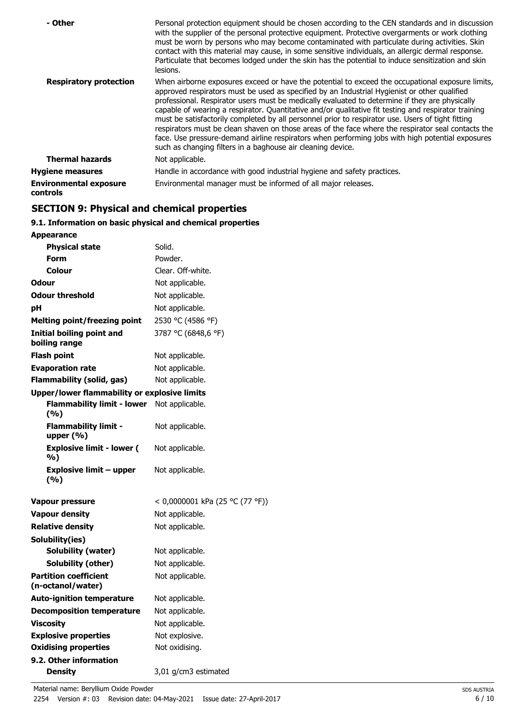| - Other                                          | Personal protection equipment should be chosen according to the CEN standards and in discussion<br>with the supplier of the personal protective equipment. Protective overgarments or work clothing<br>must be worn by persons who may become contaminated with particulate during activities. Skin<br>contact with this material may cause, in some sensitive individuals, an allergic dermal response.<br>Particulate that becomes lodged under the skin has the potential to induce sensitization and skin<br>lesions.                                                                                                                                                                                                                                                                |
|--------------------------------------------------|------------------------------------------------------------------------------------------------------------------------------------------------------------------------------------------------------------------------------------------------------------------------------------------------------------------------------------------------------------------------------------------------------------------------------------------------------------------------------------------------------------------------------------------------------------------------------------------------------------------------------------------------------------------------------------------------------------------------------------------------------------------------------------------|
| <b>Respiratory protection</b>                    | When airborne exposures exceed or have the potential to exceed the occupational exposure limits,<br>approved respirators must be used as specified by an Industrial Hygienist or other qualified<br>professional. Respirator users must be medically evaluated to determine if they are physically<br>capable of wearing a respirator. Quantitative and/or qualitative fit testing and respirator training<br>must be satisfactorily completed by all personnel prior to respirator use. Users of tight fitting<br>respirators must be clean shaven on those areas of the face where the respirator seal contacts the<br>face. Use pressure-demand airline respirators when performing jobs with high potential exposures<br>such as changing filters in a baghouse air cleaning device. |
| <b>Thermal hazards</b>                           | Not applicable.                                                                                                                                                                                                                                                                                                                                                                                                                                                                                                                                                                                                                                                                                                                                                                          |
| <b>Hygiene measures</b>                          | Handle in accordance with good industrial hygiene and safety practices.                                                                                                                                                                                                                                                                                                                                                                                                                                                                                                                                                                                                                                                                                                                  |
| <b>Environmental exposure</b><br><b>controls</b> | Environmental manager must be informed of all major releases.                                                                                                                                                                                                                                                                                                                                                                                                                                                                                                                                                                                                                                                                                                                            |

## **SECTION 9: Physical and chemical properties**

## **9.1. Information on basic physical and chemical properties**

| <b>Appearance</b>                                   |                                 |
|-----------------------------------------------------|---------------------------------|
| <b>Physical state</b>                               | Solid.                          |
| Form                                                | Powder.                         |
| Colour                                              | Clear. Off-white.               |
| <b>Odour</b>                                        | Not applicable.                 |
| <b>Odour threshold</b>                              | Not applicable.                 |
| рH                                                  | Not applicable.                 |
| <b>Melting point/freezing point</b>                 | 2530 °C (4586 °F)               |
| <b>Initial boiling point and</b><br>boiling range   | 3787 °C (6848,6 °F)             |
| Flash point                                         | Not applicable.                 |
| <b>Evaporation rate</b>                             | Not applicable.                 |
| <b>Flammability (solid, gas)</b>                    | Not applicable.                 |
| <b>Upper/lower flammability or explosive limits</b> |                                 |
| <b>Flammability limit - lower</b><br>(%)            | Not applicable.                 |
| <b>Flammability limit -</b><br>upper $(% )$         | Not applicable.                 |
| <b>Explosive limit - lower (</b><br>%)              | Not applicable.                 |
| <b>Explosive limit - upper</b><br>(%)               | Not applicable.                 |
| Vapour pressure                                     | < 0,0000001 kPa (25 °C (77 °F)) |
| <b>Vapour density</b>                               | Not applicable.                 |
| <b>Relative density</b>                             | Not applicable.                 |
| Solubility(ies)                                     |                                 |
| <b>Solubility (water)</b>                           | Not applicable.                 |
| Solubility (other)                                  | Not applicable.                 |
| <b>Partition coefficient</b><br>(n-octanol/water)   | Not applicable.                 |
| <b>Auto-ignition temperature</b>                    | Not applicable.                 |
| <b>Decomposition temperature</b>                    | Not applicable.                 |
| <b>Viscosity</b>                                    | Not applicable.                 |
| <b>Explosive properties</b>                         | Not explosive.                  |
| <b>Oxidising properties</b>                         | Not oxidising.                  |
| 9.2. Other information                              |                                 |
| <b>Density</b>                                      | 3,01 g/cm3 estimated            |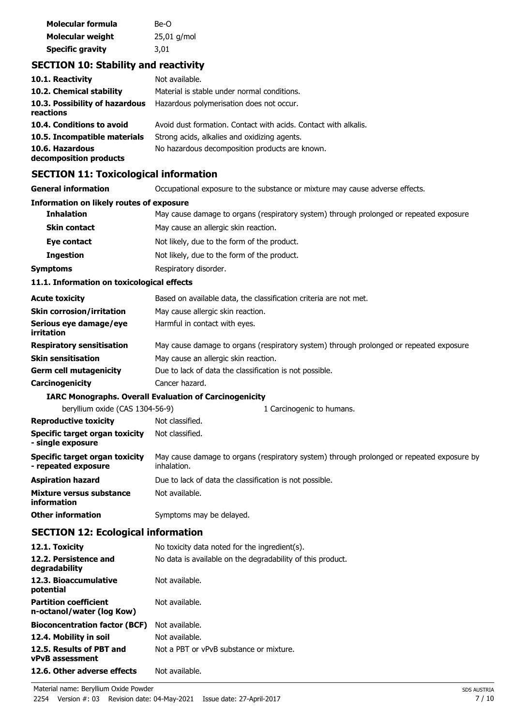| Molecular formula       | Be-O          |
|-------------------------|---------------|
| Molecular weight        | $25,01$ g/mol |
| <b>Specific gravity</b> | 3,01          |

## **SECTION 10: Stability and reactivity**

| 10.1. Reactivity                            | Not available.                                                  |
|---------------------------------------------|-----------------------------------------------------------------|
| 10.2. Chemical stability                    | Material is stable under normal conditions.                     |
| 10.3. Possibility of hazardous<br>reactions | Hazardous polymerisation does not occur.                        |
| 10.4. Conditions to avoid                   | Avoid dust formation. Contact with acids. Contact with alkalis. |
| 10.5. Incompatible materials                | Strong acids, alkalies and oxidizing agents.                    |
| 10.6. Hazardous<br>decomposition products   | No hazardous decomposition products are known.                  |

## **SECTION 11: Toxicological information**

| <u>sechton 11: Toxicological illiofinación</u>               |                                                                                                          |  |
|--------------------------------------------------------------|----------------------------------------------------------------------------------------------------------|--|
| <b>General information</b>                                   | Occupational exposure to the substance or mixture may cause adverse effects.                             |  |
| <b>Information on likely routes of exposure</b>              |                                                                                                          |  |
| <b>Inhalation</b>                                            | May cause damage to organs (respiratory system) through prolonged or repeated exposure.                  |  |
| <b>Skin contact</b>                                          | May cause an allergic skin reaction.                                                                     |  |
| Eye contact                                                  | Not likely, due to the form of the product.                                                              |  |
| <b>Ingestion</b>                                             | Not likely, due to the form of the product.                                                              |  |
| <b>Symptoms</b>                                              | Respiratory disorder.                                                                                    |  |
| 11.1. Information on toxicological effects                   |                                                                                                          |  |
| <b>Acute toxicity</b>                                        | Based on available data, the classification criteria are not met.                                        |  |
| <b>Skin corrosion/irritation</b>                             | May cause allergic skin reaction.                                                                        |  |
| Serious eye damage/eye<br>irritation                         | Harmful in contact with eyes.                                                                            |  |
| <b>Respiratory sensitisation</b>                             | May cause damage to organs (respiratory system) through prolonged or repeated exposure.                  |  |
| <b>Skin sensitisation</b>                                    | May cause an allergic skin reaction.                                                                     |  |
| <b>Germ cell mutagenicity</b>                                | Due to lack of data the classification is not possible.                                                  |  |
| Carcinogenicity                                              | Cancer hazard.                                                                                           |  |
|                                                              | <b>IARC Monographs. Overall Evaluation of Carcinogenicity</b>                                            |  |
| beryllium oxide (CAS 1304-56-9)                              | 1 Carcinogenic to humans.                                                                                |  |
| <b>Reproductive toxicity</b>                                 | Not classified.                                                                                          |  |
| <b>Specific target organ toxicity</b><br>- single exposure   | Not classified.                                                                                          |  |
| <b>Specific target organ toxicity</b><br>- repeated exposure | May cause damage to organs (respiratory system) through prolonged or repeated exposure by<br>inhalation. |  |
| <b>Aspiration hazard</b>                                     | Due to lack of data the classification is not possible.                                                  |  |
| Mixture versus substance<br>information                      | Not available.                                                                                           |  |
| <b>Other information</b>                                     | Symptoms may be delayed.                                                                                 |  |
| <b>SECTION 12: Ecological information</b>                    |                                                                                                          |  |
|                                                              |                                                                                                          |  |

| 12.2. Persistence and<br>degradability<br>12.3. Bioaccumulative<br>Not available.<br>potential<br><b>Partition coefficient</b><br>Not available.<br>n-octanol/water (log Kow)<br>Not available.<br><b>Bioconcentration factor (BCF)</b><br>Not available.<br>12.4. Mobility in soil<br>Not a PBT or vPvB substance or mixture.<br>12.5. Results of PBT and<br><b>vPvB</b> assessment<br>12.6. Other adverse effects<br>Not available. | 12.1. Toxicity | No toxicity data noted for the ingredient(s).              |
|---------------------------------------------------------------------------------------------------------------------------------------------------------------------------------------------------------------------------------------------------------------------------------------------------------------------------------------------------------------------------------------------------------------------------------------|----------------|------------------------------------------------------------|
|                                                                                                                                                                                                                                                                                                                                                                                                                                       |                | No data is available on the degradability of this product. |
|                                                                                                                                                                                                                                                                                                                                                                                                                                       |                |                                                            |
|                                                                                                                                                                                                                                                                                                                                                                                                                                       |                |                                                            |
|                                                                                                                                                                                                                                                                                                                                                                                                                                       |                |                                                            |
|                                                                                                                                                                                                                                                                                                                                                                                                                                       |                |                                                            |
|                                                                                                                                                                                                                                                                                                                                                                                                                                       |                |                                                            |
|                                                                                                                                                                                                                                                                                                                                                                                                                                       |                |                                                            |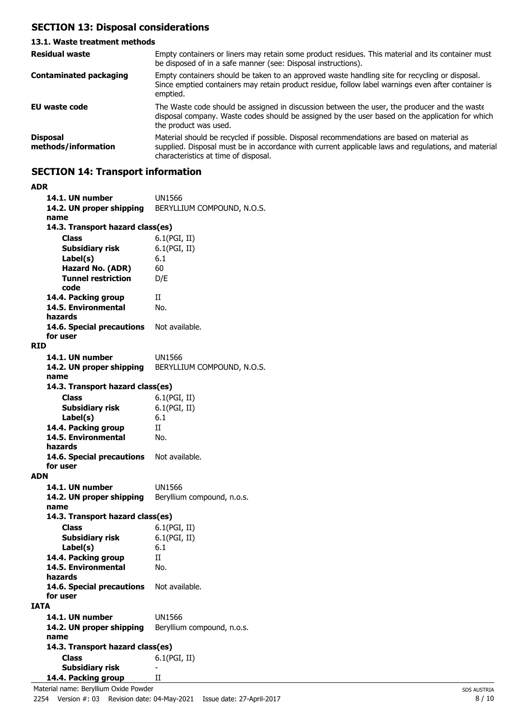## **SECTION 13: Disposal considerations**

#### **13.1. Waste treatment methods** Empty containers or liners may retain some product residues. This material and its container must be disposed of in a safe manner (see: Disposal instructions). **Residual waste** Empty containers should be taken to an approved waste handling site for recycling or disposal. Since emptied containers may retain product residue, follow label warnings even after container is emptied. **Contaminated packaging EU waste code** The Waste code should be assigned in discussion between the user, the producer and the waste disposal company. Waste codes should be assigned by the user based on the application for which the product was used. Material should be recycled if possible. Disposal recommendations are based on material as supplied. Disposal must be in accordance with current applicable laws and regulations, and material characteristics at time of disposal. **Disposal methods/information**

## **SECTION 14: Transport information**

| ADR  |                                          |                            |
|------|------------------------------------------|----------------------------|
|      | 14.1. UN number                          | UN1566                     |
|      | 14.2. UN proper shipping                 | BERYLLIUM COMPOUND, N.O.S. |
|      | name                                     |                            |
|      | 14.3. Transport hazard class(es)         |                            |
|      | <b>Class</b>                             | 6.1(PGI, II)               |
|      | Subsidiary risk                          | 6.1(PGI, II)               |
|      |                                          |                            |
|      | Label(s)                                 | 6.1                        |
|      | Hazard No. (ADR)                         | 60                         |
|      | <b>Tunnel restriction</b>                | D/E                        |
|      | code                                     |                            |
|      | 14.4. Packing group                      | П                          |
|      | 14.5. Environmental                      | No.                        |
|      | hazards                                  |                            |
|      | 14.6. Special precautions                | Not available.             |
|      | for user                                 |                            |
| RID  |                                          |                            |
|      | 14.1. UN number                          | UN1566                     |
|      | 14.2. UN proper shipping                 | BERYLLIUM COMPOUND, N.O.S. |
|      | name                                     |                            |
|      | 14.3. Transport hazard class(es)         |                            |
|      | Class                                    | 6.1(PGI, II)               |
|      |                                          |                            |
|      | <b>Subsidiary risk</b>                   | 6.1(PGI, II)               |
|      | Label(s)                                 | 6.1                        |
|      | 14.4. Packing group                      | П                          |
|      | 14.5. Environmental                      | No.                        |
|      | hazards                                  |                            |
|      | 14.6. Special precautions                | Not available.             |
|      | for user                                 |                            |
| ADN  |                                          |                            |
|      | 14.1. UN number                          | UN1566                     |
|      | 14.2. UN proper shipping                 | Beryllium compound, n.o.s. |
|      | name                                     |                            |
|      | 14.3. Transport hazard class(es)         |                            |
|      | <b>Class</b>                             | 6.1(PGI, II)               |
|      | Subsidiary risk                          | 6.1(PGI, II)               |
|      | Label(s)                                 | 6.1                        |
|      | 14.4. Packing group                      | H                          |
|      | 14.5. Environmental                      | No.                        |
|      | hazards                                  |                            |
|      | 14.6. Special precautions Not available. |                            |
|      | for user                                 |                            |
| IATA |                                          |                            |
|      |                                          |                            |
|      | 14.1. UN number                          | UN1566                     |
|      | 14.2. UN proper shipping                 | Beryllium compound, n.o.s. |
|      | name                                     |                            |
|      | 14.3. Transport hazard class(es)         |                            |
|      | <b>Class</b>                             | 6.1(PGI, II)               |
|      | <b>Subsidiary risk</b>                   |                            |
|      | 14.4. Packing group                      | Н                          |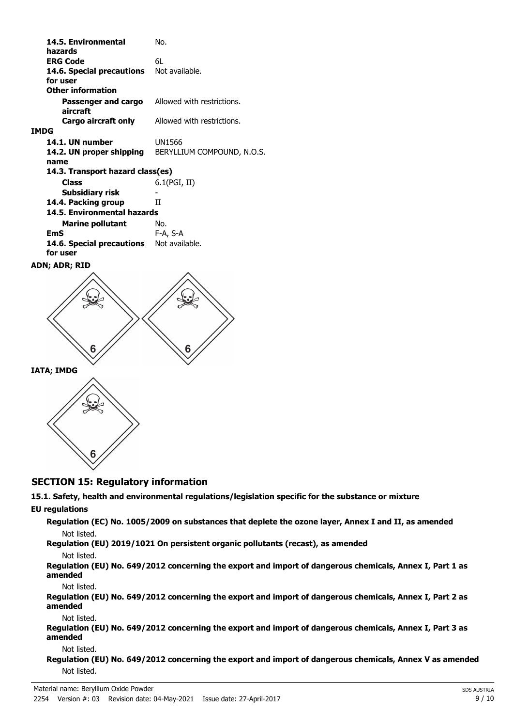| 14.5. Environmental<br>hazards   | No.                        |
|----------------------------------|----------------------------|
| <b>ERG Code</b>                  | 61.                        |
| 14.6. Special precautions        | Not available.             |
| for user                         |                            |
| <b>Other information</b>         |                            |
| Passenger and cargo              | Allowed with restrictions. |
| aircraft                         |                            |
| Cargo aircraft only              | Allowed with restrictions. |
| <b>IMDG</b>                      |                            |
| 14.1. UN number                  | UN1566                     |
| 14.2. UN proper shipping         | BERYLLIUM COMPOUND, N.O.S. |
| name                             |                            |
| 14.3. Transport hazard class(es) |                            |
| Class                            | 6.1(PGI, II)               |
| Subsidiary risk                  |                            |
| 14.4. Packing group              | Н                          |
| 14.5. Environmental hazards      |                            |
| <b>Marine pollutant</b>          | No.                        |
| EmS                              | F-A, S-A                   |
| 14.6. Special precautions        | Not available.             |
| for user                         |                            |
| ADN; ADR; RID                    |                            |





## **SECTION 15: Regulatory information**

## **15.1. Safety, health and environmental regulations/legislation specific for the substance or mixture**

#### **EU regulations**

**Regulation (EC) No. 1005/2009 on substances that deplete the ozone layer, Annex I and II, as amended** Not listed.

**Regulation (EU) 2019/1021 On persistent organic pollutants (recast), as amended**

#### Not listed.

**Regulation (EU) No. 649/2012 concerning the export and import of dangerous chemicals, Annex I, Part 1 as amended**

Not listed.

**Regulation (EU) No. 649/2012 concerning the export and import of dangerous chemicals, Annex I, Part 2 as amended**

Not listed.

**Regulation (EU) No. 649/2012 concerning the export and import of dangerous chemicals, Annex I, Part 3 as amended**

#### Not listed.

**Regulation (EU) No. 649/2012 concerning the export and import of dangerous chemicals, Annex V as amended** Not listed.